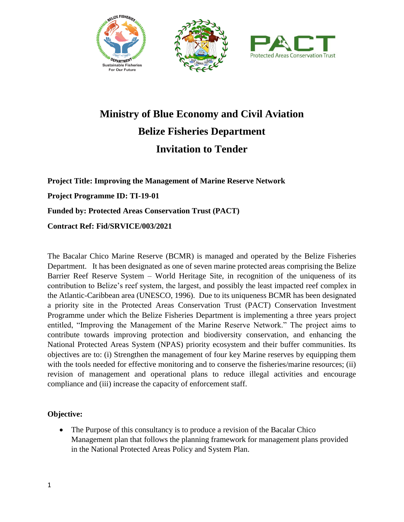





# **Ministry of Blue Economy and Civil Aviation Belize Fisheries Department Invitation to Tender**

**Project Title: Improving the Management of Marine Reserve Network Project Programme ID: TI-19-01 Funded by: Protected Areas Conservation Trust (PACT) Contract Ref: Fid/SRVICE/003/2021**

The Bacalar Chico Marine Reserve (BCMR) is managed and operated by the Belize Fisheries Department. It has been designated as one of seven marine protected areas comprising the Belize Barrier Reef Reserve System – World Heritage Site, in recognition of the uniqueness of its contribution to Belize's reef system, the largest, and possibly the least impacted reef complex in the Atlantic-Caribbean area (UNESCO, 1996). Due to its uniqueness BCMR has been designated a priority site in the Protected Areas Conservation Trust (PACT) Conservation Investment Programme under which the Belize Fisheries Department is implementing a three years project entitled, "Improving the Management of the Marine Reserve Network." The project aims to contribute towards improving protection and biodiversity conservation, and enhancing the National Protected Areas System (NPAS) priority ecosystem and their buffer communities. Its objectives are to: (i) Strengthen the management of four key Marine reserves by equipping them with the tools needed for effective monitoring and to conserve the fisheries/marine resources; (ii) revision of management and operational plans to reduce illegal activities and encourage compliance and (iii) increase the capacity of enforcement staff.

#### **Objective:**

• The Purpose of this consultancy is to produce a revision of the Bacalar Chico Management plan that follows the planning framework for management plans provided in the National Protected Areas Policy and System Plan.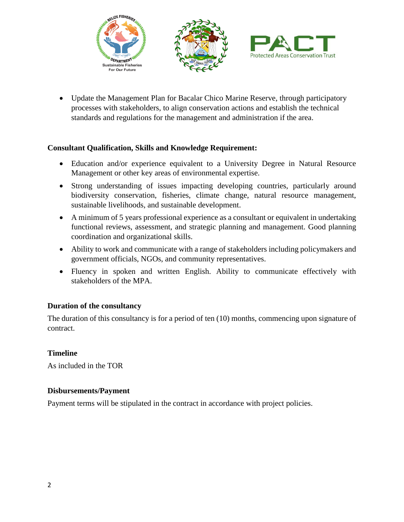





• Update the Management Plan for Bacalar Chico Marine Reserve, through participatory processes with stakeholders, to align conservation actions and establish the technical standards and regulations for the management and administration if the area.

#### **Consultant Qualification, Skills and Knowledge Requirement:**

- Education and/or experience equivalent to a University Degree in Natural Resource Management or other key areas of environmental expertise.
- Strong understanding of issues impacting developing countries, particularly around biodiversity conservation, fisheries, climate change, natural resource management, sustainable livelihoods, and sustainable development.
- A minimum of 5 years professional experience as a consultant or equivalent in undertaking functional reviews, assessment, and strategic planning and management. Good planning coordination and organizational skills.
- Ability to work and communicate with a range of stakeholders including policymakers and government officials, NGOs, and community representatives.
- Fluency in spoken and written English. Ability to communicate effectively with stakeholders of the MPA.

#### **Duration of the consultancy**

The duration of this consultancy is for a period of ten (10) months, commencing upon signature of contract.

### **Timeline**

As included in the TOR

#### **Disbursements/Payment**

Payment terms will be stipulated in the contract in accordance with project policies.